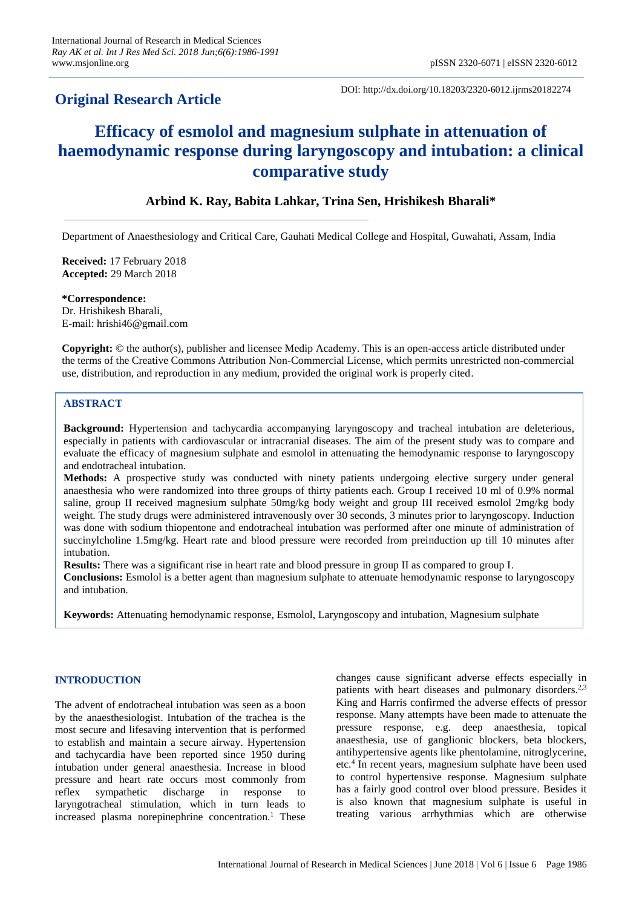# **Original Research Article**

DOI: http://dx.doi.org/10.18203/2320-6012.ijrms20182274

# **Efficacy of esmolol and magnesium sulphate in attenuation of haemodynamic response during laryngoscopy and intubation: a clinical comparative study**

# **Arbind K. Ray, Babita Lahkar, Trina Sen, Hrishikesh Bharali\***

Department of Anaesthesiology and Critical Care, Gauhati Medical College and Hospital, Guwahati, Assam, India

**Received:** 17 February 2018 **Accepted:** 29 March 2018

**\*Correspondence:** Dr. Hrishikesh Bharali, E-mail: hrishi46@gmail.com

**Copyright:** © the author(s), publisher and licensee Medip Academy. This is an open-access article distributed under the terms of the Creative Commons Attribution Non-Commercial License, which permits unrestricted non-commercial use, distribution, and reproduction in any medium, provided the original work is properly cited.

# **ABSTRACT**

**Background:** Hypertension and tachycardia accompanying laryngoscopy and tracheal intubation are deleterious, especially in patients with cardiovascular or intracranial diseases. The aim of the present study was to compare and evaluate the efficacy of magnesium sulphate and esmolol in attenuating the hemodynamic response to laryngoscopy and endotracheal intubation.

**Methods:** A prospective study was conducted with ninety patients undergoing elective surgery under general anaesthesia who were randomized into three groups of thirty patients each. Group I received 10 ml of 0.9% normal saline, group II received magnesium sulphate 50mg/kg body weight and group III received esmolol 2mg/kg body weight. The study drugs were administered intravenously over 30 seconds, 3 minutes prior to laryngoscopy. Induction was done with sodium thiopentone and endotracheal intubation was performed after one minute of administration of succinylcholine 1.5mg/kg. Heart rate and blood pressure were recorded from preinduction up till 10 minutes after intubation.

**Results:** There was a significant rise in heart rate and blood pressure in group II as compared to group I. **Conclusions:** Esmolol is a better agent than magnesium sulphate to attenuate hemodynamic response to laryngoscopy and intubation.

**Keywords:** Attenuating hemodynamic response, Esmolol, Laryngoscopy and intubation, Magnesium sulphate

# **INTRODUCTION**

The advent of endotracheal intubation was seen as a boon by the anaesthesiologist. Intubation of the trachea is the most secure and lifesaving intervention that is performed to establish and maintain a secure airway. Hypertension and tachycardia have been reported since 1950 during intubation under general anaesthesia. Increase in blood pressure and heart rate occurs most commonly from reflex sympathetic discharge in response to laryngotracheal stimulation, which in turn leads to increased plasma norepinephrine concentration.<sup>1</sup> These changes cause significant adverse effects especially in patients with heart diseases and pulmonary disorders.<sup>2,3</sup> King and Harris confirmed the adverse effects of pressor response. Many attempts have been made to attenuate the pressure response, e.g. deep anaesthesia, topical anaesthesia, use of ganglionic blockers, beta blockers, antihypertensive agents like phentolamine, nitroglycerine, etc.<sup>4</sup> In recent years, magnesium sulphate have been used to control hypertensive response. Magnesium sulphate has a fairly good control over blood pressure. Besides it is also known that magnesium sulphate is useful in treating various arrhythmias which are otherwise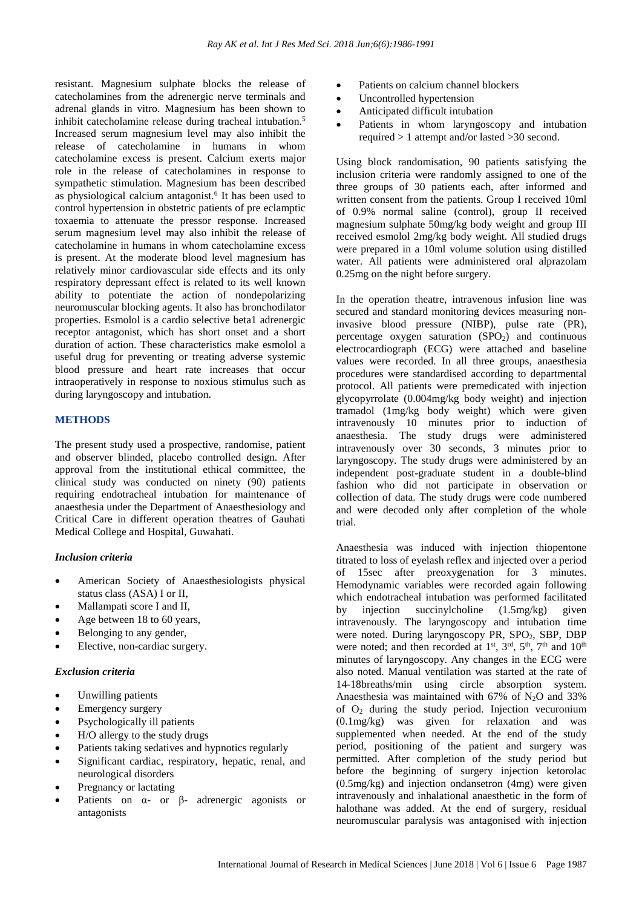resistant. Magnesium sulphate blocks the release of catecholamines from the adrenergic nerve terminals and adrenal glands in vitro. Magnesium has been shown to inhibit catecholamine release during tracheal intubation.<sup>5</sup> Increased serum magnesium level may also inhibit the release of catecholamine in humans in whom catecholamine excess is present. Calcium exerts major role in the release of catecholamines in response to sympathetic stimulation. Magnesium has been described as physiological calcium antagonist.<sup>6</sup> It has been used to control hypertension in obstetric patients of pre eclamptic toxaemia to attenuate the pressor response. Increased serum magnesium level may also inhibit the release of catecholamine in humans in whom catecholamine excess is present. At the moderate blood level magnesium has relatively minor cardiovascular side effects and its only respiratory depressant effect is related to its well known ability to potentiate the action of nondepolarizing neuromuscular blocking agents. It also has bronchodilator properties. Esmolol is a cardio selective beta1 adrenergic receptor antagonist, which has short onset and a short duration of action. These characteristics make esmolol a useful drug for preventing or treating adverse systemic blood pressure and heart rate increases that occur intraoperatively in response to noxious stimulus such as during laryngoscopy and intubation.

# **METHODS**

The present study used a prospective, randomise, patient and observer blinded, placebo controlled design. After approval from the institutional ethical committee, the clinical study was conducted on ninety (90) patients requiring endotracheal intubation for maintenance of anaesthesia under the Department of Anaesthesiology and Critical Care in different operation theatres of Gauhati Medical College and Hospital, Guwahati.

# *Inclusion criteria*

- American Society of Anaesthesiologists physical status class (ASA) I or II,
- Mallampati score I and II,
- Age between 18 to 60 years,
- Belonging to any gender,
- Elective, non-cardiac surgery.

#### *Exclusion criteria*

- Unwilling patients
- Emergency surgery
- Psychologically ill patients
- H/O allergy to the study drugs
- Patients taking sedatives and hypnotics regularly
- Significant cardiac, respiratory, hepatic, renal, and neurological disorders
- Pregnancy or lactating
- Patients on  $\alpha$  or  $\beta$  adrenergic agonists or antagonists
- Patients on calcium channel blockers
- Uncontrolled hypertension
- Anticipated difficult intubation
- Patients in whom laryngoscopy and intubation required > 1 attempt and/or lasted >30 second.

Using block randomisation, 90 patients satisfying the inclusion criteria were randomly assigned to one of the three groups of 30 patients each, after informed and written consent from the patients. Group I received 10ml of 0.9% normal saline (control), group II received magnesium sulphate 50mg/kg body weight and group III received esmolol 2mg/kg body weight. All studied drugs were prepared in a 10ml volume solution using distilled water. All patients were administered oral alprazolam 0.25mg on the night before surgery.

In the operation theatre, intravenous infusion line was secured and standard monitoring devices measuring noninvasive blood pressure (NIBP), pulse rate (PR), percentage oxygen saturation  $(SPO<sub>2</sub>)$  and continuous electrocardiograph (ECG) were attached and baseline values were recorded. In all three groups, anaesthesia procedures were standardised according to departmental protocol. All patients were premedicated with injection glycopyrrolate (0.004mg/kg body weight) and injection tramadol (1mg/kg body weight) which were given intravenously 10 minutes prior to induction of anaesthesia. The study drugs were administered intravenously over 30 seconds, 3 minutes prior to laryngoscopy. The study drugs were administered by an independent post-graduate student in a double-blind fashion who did not participate in observation or collection of data. The study drugs were code numbered and were decoded only after completion of the whole trial.

Anaesthesia was induced with injection thiopentone titrated to loss of eyelash reflex and injected over a period of 15sec after preoxygenation for 3 minutes. Hemodynamic variables were recorded again following which endotracheal intubation was performed facilitated by injection succinylcholine (1.5mg/kg) given intravenously. The laryngoscopy and intubation time were noted. During laryngoscopy PR, SPO<sub>2</sub>, SBP, DBP were noted; and then recorded at  $1<sup>st</sup>$ ,  $3<sup>rd</sup>$ ,  $5<sup>th</sup>$ ,  $7<sup>th</sup>$  and  $10<sup>th</sup>$ minutes of laryngoscopy. Any changes in the ECG were also noted. Manual ventilation was started at the rate of 14-18breaths/min using circle absorption system. Anaesthesia was maintained with 67% of  $N_2O$  and 33% of O<sup>2</sup> during the study period. Injection vecuronium (0.1mg/kg) was given for relaxation and was supplemented when needed. At the end of the study period, positioning of the patient and surgery was permitted. After completion of the study period but before the beginning of surgery injection ketorolac (0.5mg/kg) and injection ondansetron (4mg) were given intravenously and inhalational anaesthetic in the form of halothane was added. At the end of surgery, residual neuromuscular paralysis was antagonised with injection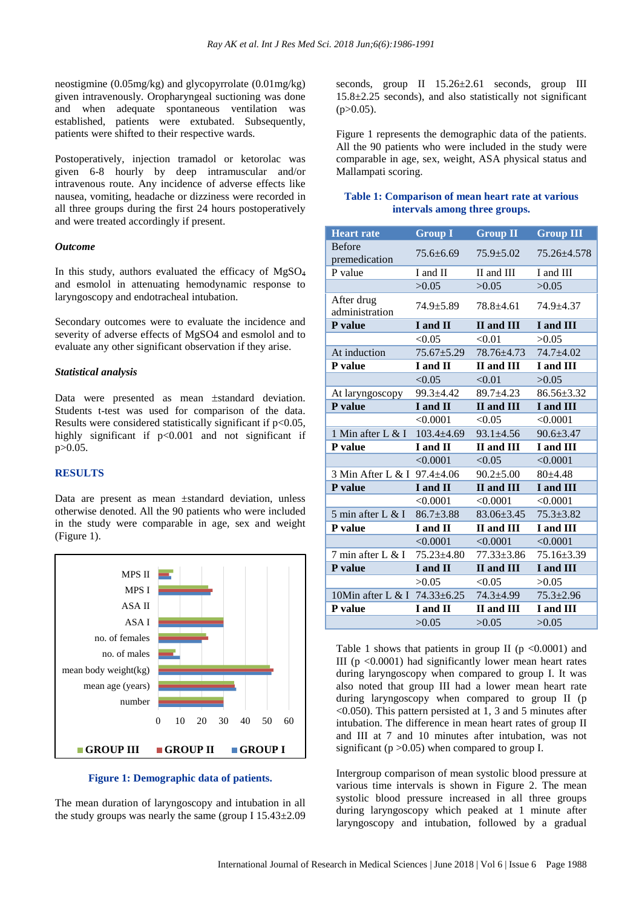neostigmine (0.05mg/kg) and glycopyrrolate (0.01mg/kg) given intravenously. Oropharyngeal suctioning was done and when adequate spontaneous ventilation was established, patients were extubated. Subsequently, patients were shifted to their respective wards.

Postoperatively, injection tramadol or ketorolac was given 6-8 hourly by deep intramuscular and/or intravenous route. Any incidence of adverse effects like nausea, vomiting, headache or dizziness were recorded in all three groups during the first 24 hours postoperatively and were treated accordingly if present.

#### *Outcome*

In this study, authors evaluated the efficacy of MgSO<sup>4</sup> and esmolol in attenuating hemodynamic response to laryngoscopy and endotracheal intubation.

Secondary outcomes were to evaluate the incidence and severity of adverse effects of MgSO4 and esmolol and to evaluate any other significant observation if they arise.

#### *Statistical analysis*

Data were presented as mean  $\pm$ standard deviation. Students t-test was used for comparison of the data. Results were considered statistically significant if  $p<0.05$ , highly significant if  $p<0.001$  and not significant if p>0.05.

# **RESULTS**

Data are present as mean ±standard deviation, unless otherwise denoted. All the 90 patients who were included in the study were comparable in age, sex and weight (Figure 1).



#### **Figure 1: Demographic data of patients.**

The mean duration of laryngoscopy and intubation in all the study groups was nearly the same (group I  $15.43\pm2.09$ )

seconds, group II  $15.26 \pm 2.61$  seconds, group III 15.8±2.25 seconds), and also statistically not significant  $(p>0.05)$ .

Figure 1 represents the demographic data of the patients. All the 90 patients who were included in the study were comparable in age, sex, weight, ASA physical status and Mallampati scoring.

## **Table 1: Comparison of mean heart rate at various intervals among three groups.**

| <b>Heart rate</b>            | <b>Group I</b>   | <b>Group II</b>          | <b>Group III</b> |
|------------------------------|------------------|--------------------------|------------------|
| <b>Before</b>                | 75.6+6.69        | $75.9 + 5.02$            | 75.26+4.578      |
| premedication                |                  |                          |                  |
| P value                      | I and II         | II and III               | I and III        |
|                              | >0.05            | >0.05                    | >0.05            |
| After drug<br>administration | 74.9±5.89        | $78.8 + 4.61$            | 74.9±4.37        |
| P value                      | I and II         | II and III               | I and III        |
|                              | < 0.05           | < 0.01                   | >0.05            |
| At induction                 | $75.67 \pm 5.29$ | 78.76±4.73               | 74.7±4.02        |
| P value                      | I and II         | II and III               | I and III        |
|                              | < 0.05           | < 0.01                   | >0.05            |
| At laryngoscopy              | $99.3 + 4.42$    | $89.7 + 4.23$            | $86.56 \pm 3.32$ |
| P value                      | I and II         | <b>II</b> and <b>III</b> | I and III        |
|                              | < 0.0001         | < 0.05                   | < 0.0001         |
| 1 Min after L $&$ I          | $103.4 + 4.69$   | $93.1 \pm 4.56$          | $90.6 \pm 3.47$  |
| P value                      | I and II         | II and III               | I and III        |
|                              | < 0.0001         | < 0.05                   | < 0.0001         |
| 3 Min After L & I 97.4±4.06  |                  | $90.2 \pm 5.00$          | $80+4.48$        |
| P value                      | I and II         | <b>II</b> and <b>III</b> | I and III        |
|                              | < 0.0001         | < 0.0001                 | < 0.0001         |
| 5 min after L & I            | $86.7 \pm 3.88$  | $83.06 \pm 3.45$         | $75.3 \pm 3.82$  |
| P value                      | I and II         | II and III               | I and III        |
|                              | < 0.0001         | < 0.0001                 | < 0.0001         |
| 7 min after L & I            | $75.23 \pm 4.80$ | $77.33 \pm 3.86$         | 75.16±3.39       |
| P value                      | I and II         | II and III               | I and III        |
|                              | >0.05            | < 0.05                   | >0.05            |
| 10Min after L & I 74.33±6.25 |                  | 74.3±4.99                | $75.3 \pm 2.96$  |
| P value                      | I and II         | II and III               | I and III        |
|                              | >0.05            | >0.05                    | >0.05            |

Table 1 shows that patients in group II ( $p \le 0.0001$ ) and III ( $p \leq 0.0001$ ) had significantly lower mean heart rates during laryngoscopy when compared to group I. It was also noted that group III had a lower mean heart rate during laryngoscopy when compared to group II (p <0.050). This pattern persisted at 1, 3 and 5 minutes after intubation. The difference in mean heart rates of group II and III at 7 and 10 minutes after intubation, was not significant ( $p > 0.05$ ) when compared to group I.

Intergroup comparison of mean systolic blood pressure at various time intervals is shown in Figure 2. The mean systolic blood pressure increased in all three groups during laryngoscopy which peaked at 1 minute after laryngoscopy and intubation, followed by a gradual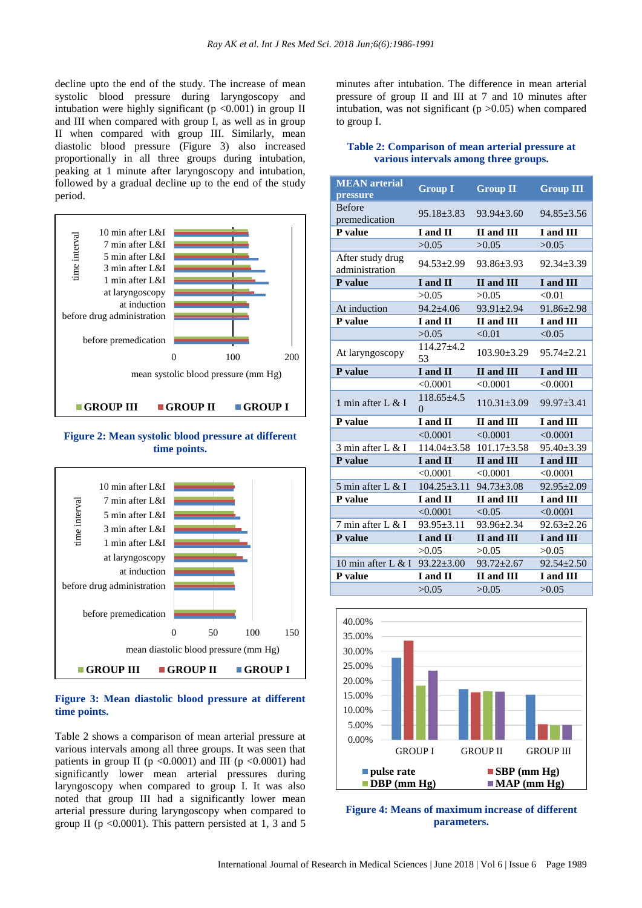decline upto the end of the study. The increase of mean systolic blood pressure during laryngoscopy and intubation were highly significant ( $p \le 0.001$ ) in group II and III when compared with group I, as well as in group II when compared with group III. Similarly, mean diastolic blood pressure (Figure 3) also increased proportionally in all three groups during intubation, peaking at 1 minute after laryngoscopy and intubation, followed by a gradual decline up to the end of the study period.



**Figure 2: Mean systolic blood pressure at different time points.**



#### **Figure 3: Mean diastolic blood pressure at different time points.**

Table 2 shows a comparison of mean arterial pressure at various intervals among all three groups. It was seen that patients in group II ( $p \le 0.0001$ ) and III ( $p \le 0.0001$ ) had significantly lower mean arterial pressures during laryngoscopy when compared to group I. It was also noted that group III had a significantly lower mean arterial pressure during laryngoscopy when compared to group II ( $p \le 0.0001$ ). This pattern persisted at 1, 3 and 5

minutes after intubation. The difference in mean arterial pressure of group II and III at 7 and 10 minutes after intubation, was not significant ( $p > 0.05$ ) when compared to group I.

| Table 2: Comparison of mean arterial pressure at |                                       |  |
|--------------------------------------------------|---------------------------------------|--|
|                                                  | various intervals among three groups. |  |

| <b>MEAN</b> arterial<br>pressure   | <b>Group I</b>               | <b>Group II</b>   | <b>Group III</b> |
|------------------------------------|------------------------------|-------------------|------------------|
| <b>Before</b><br>premedication     | $95.18 \pm 3.83$             | $93.94 + 3.60$    | $94.85 \pm 3.56$ |
| P value                            | I and II                     | II and III        | I and III        |
|                                    | >0.05                        | >0.05             | >0.05            |
| After study drug<br>administration | $94.53 \pm 2.99$             | $93.86 \pm 3.93$  | $92.34 \pm 3.39$ |
| P value                            | I and II                     | II and III        | I and III        |
|                                    | >0.05                        | >0.05             | < 0.01           |
| At induction                       | $94.2 + 4.06$                | 93.91±2.94        | 91.86±2.98       |
| P value                            | I and II                     | II and III        | I and III        |
|                                    | >0.05                        | < 0.01            | < 0.05           |
| At laryngoscopy                    | $114.27 + 4.2$<br>53         | $103.90 \pm 3.29$ | $95.74 \pm 2.21$ |
| P value                            | I and II                     | II and III        | I and III        |
|                                    | < 0.0001                     | < 0.0001          | < 0.0001         |
| 1 min after L $&$ I                | $118.65 \pm 4.5$<br>$\Omega$ | $110.31 \pm 3.09$ | $99.97 \pm 3.41$ |
| P value                            | I and II                     | II and III        | I and III        |
|                                    | < 0.0001                     | < 0.0001          | < 0.0001         |
| 3 min after L & I                  | $114.04 \pm 3.58$            | $101.17 \pm 3.58$ | $95.40 \pm 3.39$ |
| P value                            | I and II                     | II and III        | I and III        |
|                                    | < 0.0001                     | < 0.0001          | < 0.0001         |
| 5 min after L & I                  | $104.25 \pm 3.11$            | $94.73 \pm 3.08$  | $92.95 \pm 2.09$ |
| P value                            | I and II                     | II and III        | I and III        |
|                                    | < 0.0001                     | < 0.05            | < 0.0001         |
| 7 min after L & I                  | $93.95 \pm 3.11$             | $93.96 \pm 2.34$  | $92.63 \pm 2.26$ |
| P value                            | I and II                     | II and III        | I and III        |
|                                    | >0.05                        | >0.05             | >0.05            |
| 10 min after L & I                 | $93.22 \pm 3.00$             | $93.72 \pm 2.67$  | $92.54 \pm 2.50$ |
| P value                            | I and II                     | II and III        | I and III        |
|                                    | >0.05                        | >0.05             | >0.05            |



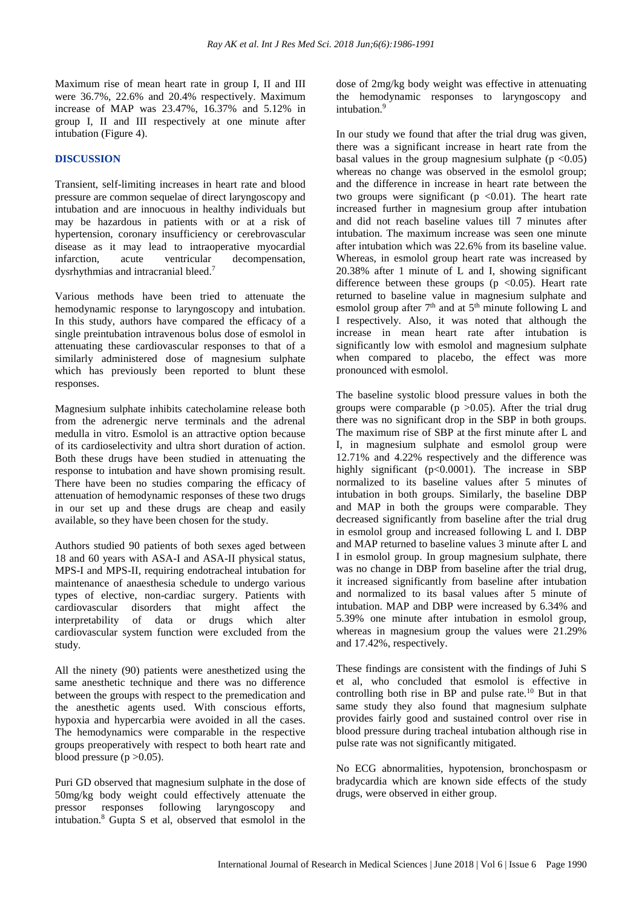Maximum rise of mean heart rate in group I, II and III were 36.7%, 22.6% and 20.4% respectively. Maximum increase of MAP was 23.47%, 16.37% and 5.12% in group I, II and III respectively at one minute after intubation (Figure 4).

## **DISCUSSION**

Transient, self-limiting increases in heart rate and blood pressure are common sequelae of direct laryngoscopy and intubation and are innocuous in healthy individuals but may be hazardous in patients with or at a risk of hypertension, coronary insufficiency or cerebrovascular disease as it may lead to intraoperative myocardial infarction, acute ventricular decompensation, dysrhythmias and intracranial bleed.<sup>7</sup>

Various methods have been tried to attenuate the hemodynamic response to laryngoscopy and intubation. In this study, authors have compared the efficacy of a single preintubation intravenous bolus dose of esmolol in attenuating these cardiovascular responses to that of a similarly administered dose of magnesium sulphate which has previously been reported to blunt these responses.

Magnesium sulphate inhibits catecholamine release both from the adrenergic nerve terminals and the adrenal medulla in vitro. Esmolol is an attractive option because of its cardioselectivity and ultra short duration of action. Both these drugs have been studied in attenuating the response to intubation and have shown promising result. There have been no studies comparing the efficacy of attenuation of hemodynamic responses of these two drugs in our set up and these drugs are cheap and easily available, so they have been chosen for the study.

Authors studied 90 patients of both sexes aged between 18 and 60 years with ASA-I and ASA-II physical status, MPS-I and MPS-II, requiring endotracheal intubation for maintenance of anaesthesia schedule to undergo various types of elective, non-cardiac surgery. Patients with cardiovascular disorders that might affect the interpretability of data or drugs which alter cardiovascular system function were excluded from the study.

All the ninety (90) patients were anesthetized using the same anesthetic technique and there was no difference between the groups with respect to the premedication and the anesthetic agents used. With conscious efforts, hypoxia and hypercarbia were avoided in all the cases. The hemodynamics were comparable in the respective groups preoperatively with respect to both heart rate and blood pressure  $(p > 0.05)$ .

Puri GD observed that magnesium sulphate in the dose of 50mg/kg body weight could effectively attenuate the pressor responses following laryngoscopy and intubation.<sup>8</sup> Gupta S et al, observed that esmolol in the dose of 2mg/kg body weight was effective in attenuating the hemodynamic responses to laryngoscopy and intubation.<sup>9</sup>

In our study we found that after the trial drug was given, there was a significant increase in heart rate from the basal values in the group magnesium sulphate  $(p \le 0.05)$ whereas no change was observed in the esmolol group; and the difference in increase in heart rate between the two groups were significant ( $p \le 0.01$ ). The heart rate increased further in magnesium group after intubation and did not reach baseline values till 7 minutes after intubation. The maximum increase was seen one minute after intubation which was 22.6% from its baseline value. Whereas, in esmolol group heart rate was increased by 20.38% after 1 minute of L and I, showing significant difference between these groups ( $p \lt 0.05$ ). Heart rate returned to baseline value in magnesium sulphate and esmolol group after  $7<sup>th</sup>$  and at  $5<sup>th</sup>$  minute following L and I respectively. Also, it was noted that although the increase in mean heart rate after intubation is significantly low with esmolol and magnesium sulphate when compared to placebo, the effect was more pronounced with esmolol.

The baseline systolic blood pressure values in both the groups were comparable ( $p > 0.05$ ). After the trial drug there was no significant drop in the SBP in both groups. The maximum rise of SBP at the first minute after L and I, in magnesium sulphate and esmolol group were 12.71% and 4.22% respectively and the difference was highly significant (p<0.0001). The increase in SBP normalized to its baseline values after 5 minutes of intubation in both groups. Similarly, the baseline DBP and MAP in both the groups were comparable. They decreased significantly from baseline after the trial drug in esmolol group and increased following L and I. DBP and MAP returned to baseline values 3 minute after L and I in esmolol group. In group magnesium sulphate, there was no change in DBP from baseline after the trial drug, it increased significantly from baseline after intubation and normalized to its basal values after 5 minute of intubation. MAP and DBP were increased by 6.34% and 5.39% one minute after intubation in esmolol group, whereas in magnesium group the values were 21.29% and 17.42%, respectively.

These findings are consistent with the findings of Juhi S et al, who concluded that esmolol is effective in controlling both rise in BP and pulse rate.<sup>10</sup> But in that same study they also found that magnesium sulphate provides fairly good and sustained control over rise in blood pressure during tracheal intubation although rise in pulse rate was not significantly mitigated.

No ECG abnormalities, hypotension, bronchospasm or bradycardia which are known side effects of the study drugs, were observed in either group.